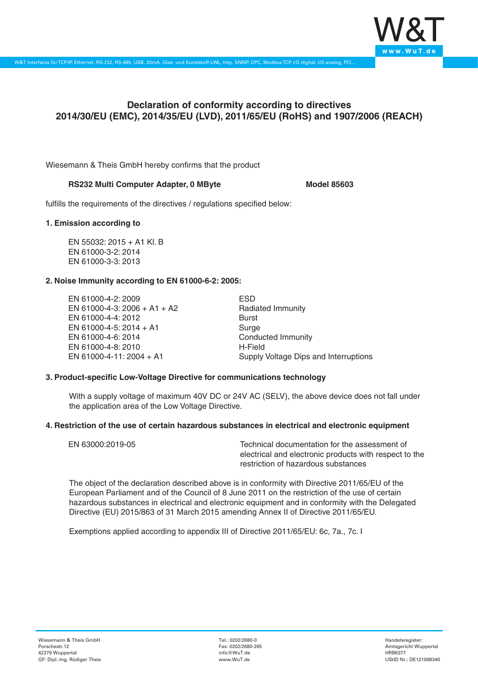

# **Declaration of conformity according to directives 2014/30/EU (EMC), 2014/35/EU (LVD), 2011/65/EU (RoHS) and 1907/2006 (REACH)**

Wiesemann & Theis GmbH hereby confirms that the product

#### RS232 Multi Computer Adapter, 0 MByte<br>
Model 85603

fulfills the requirements of the directives / regulations specified below:

#### **1. Emission according to**

EN 55032: 2015 + A1 Kl. B EN 61000-3-2: 2014 EN 61000-3-3: 2013

## **2. Noise Immunity according to EN 61000-6-2: 2005:**

EN 61000-4-2: 2009 EN 61000-4-3: 2006 + A1 + A2 EN 61000-4-4: 2012 EN 61000-4-5: 2014 + A1 EN 61000-4-6: 2014 EN 61000-4-8: 2010 EN 61000-4-11: 2004 + A1

ESD Radiated Immunity Burst Surge Conducted Immunity H-Field Supply Voltage Dips and Interruptions

## **3. Product-specific Low-Voltage Directive for communications technology**

With a supply voltage of maximum 40V DC or 24V AC (SELV), the above device does not fall under the application area of the Low Voltage Directive.

## **4. Restriction of the use of certain hazardous substances in electrical and electronic equipment**

| EN 63000:2019-05 | Technical documentation for the assessment of          |
|------------------|--------------------------------------------------------|
|                  | electrical and electronic products with respect to the |
|                  | restriction of hazardous substances                    |

The object of the declaration described above is in conformity with Directive 2011/65/EU of the European Parliament and of the Council of 8 June 2011 on the restriction of the use of certain hazardous substances in electrical and electronic equipment and in conformity with the Delegated Directive (EU) 2015/863 of 31 March 2015 amending Annex II of Directive 2011/65/EU.

Exemptions applied according to appendix III of Directive 2011/65/EU: 6c, 7a., 7c. I